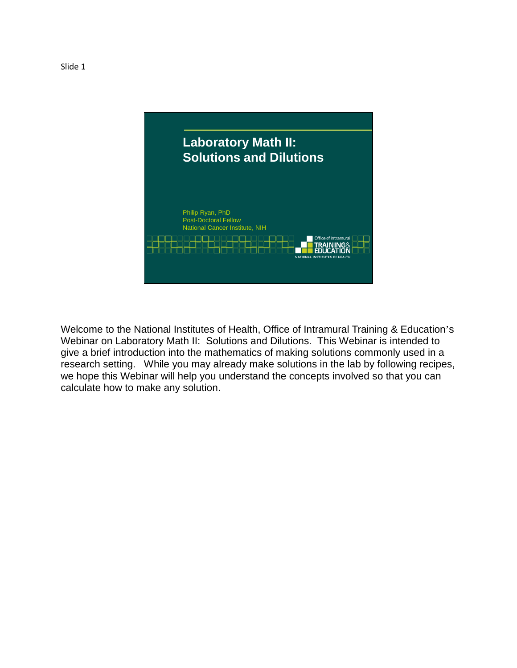

Welcome to the National Institutes of Health, Office of Intramural Training & Education's Webinar on Laboratory Math II: Solutions and Dilutions. This Webinar is intended to give a brief introduction into the mathematics of making solutions commonly used in a research setting. While you may already make solutions in the lab by following recipes, we hope this Webinar will help you understand the concepts involved so that you can calculate how to make any solution.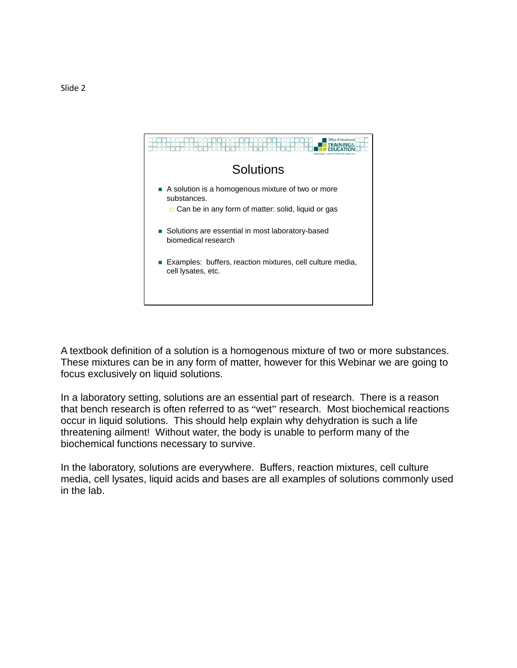

A textbook definition of a solution is a homogenous mixture of two or more substances. These mixtures can be in any form of matter, however for this Webinar we are going to focus exclusively on liquid solutions.

In a laboratory setting, solutions are an essential part of research. There is a reason that bench research is often referred to as "wet" research. Most biochemical reactions occur in liquid solutions. This should help explain why dehydration is such a life threatening ailment! Without water, the body is unable to perform many of the biochemical functions necessary to survive.

In the laboratory, solutions are everywhere. Buffers, reaction mixtures, cell culture media, cell lysates, liquid acids and bases are all examples of solutions commonly used in the lab.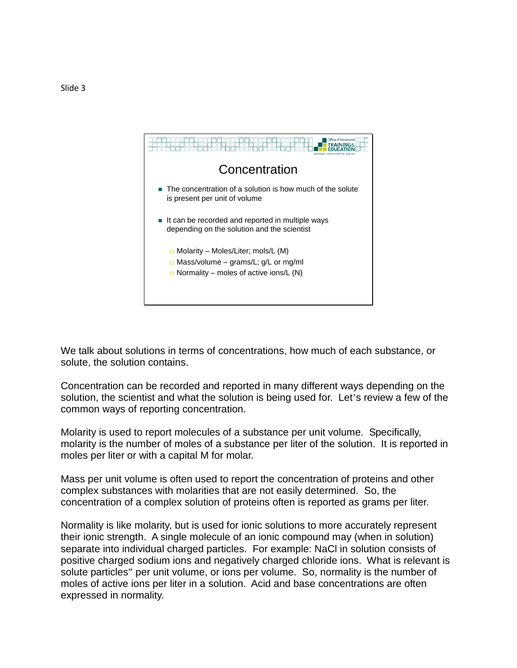

We talk about solutions in terms of concentrations, how much of each substance, or solute, the solution contains.

Concentration can be recorded and reported in many different ways depending on the solution, the scientist and what the solution is being used for. Let's review a few of the common ways of reporting concentration.

Molarity is used to report molecules of a substance per unit volume. Specifically, molarity is the number of moles of a substance per liter of the solution. It is reported in moles per liter or with a capital M for molar.

Mass per unit volume is often used to report the concentration of proteins and other complex substances with molarities that are not easily determined. So, the concentration of a complex solution of proteins often is reported as grams per liter.

Normality is like molarity, but is used for ionic solutions to more accurately represent their ionic strength. A single molecule of an ionic compound may (when in solution) separate into individual charged particles. For example: NaCl in solution consists of positive charged sodium ions and negatively charged chloride ions. What is relevant is solute particles" per unit volume, or ions per volume. So, normality is the number of moles of active ions per liter in a solution. Acid and base concentrations are often expressed in normality.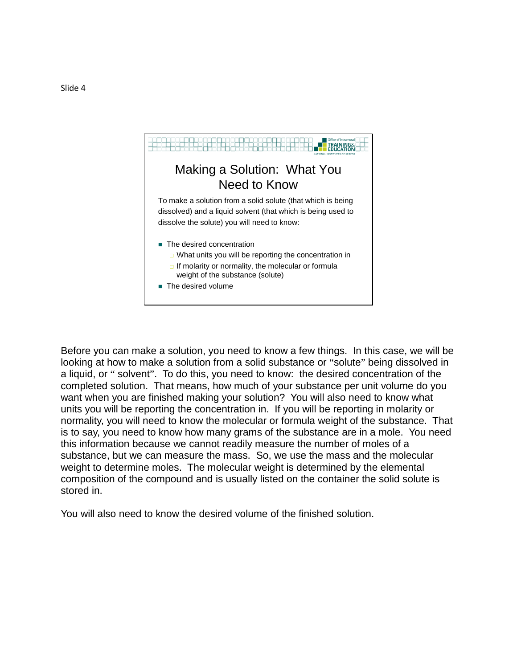

Before you can make a solution, you need to know a few things. In this case, we will be looking at how to make a solution from a solid substance or "solute" being dissolved in a liquid, or " solvent". To do this, you need to know: the desired concentration of the completed solution. That means, how much of your substance per unit volume do you want when you are finished making your solution? You will also need to know what units you will be reporting the concentration in. If you will be reporting in molarity or normality, you will need to know the molecular or formula weight of the substance. That is to say, you need to know how many grams of the substance are in a mole. You need this information because we cannot readily measure the number of moles of a substance, but we can measure the mass. So, we use the mass and the molecular weight to determine moles. The molecular weight is determined by the elemental composition of the compound and is usually listed on the container the solid solute is stored in.

You will also need to know the desired volume of the finished solution.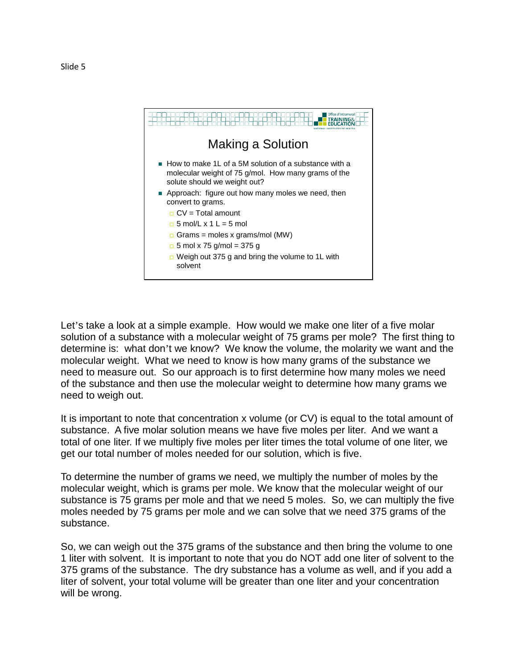



Let's take a look at a simple example. How would we make one liter of a five molar solution of a substance with a molecular weight of 75 grams per mole? The first thing to determine is: what don't we know? We know the volume, the molarity we want and the molecular weight. What we need to know is how many grams of the substance we need to measure out. So our approach is to first determine how many moles we need of the substance and then use the molecular weight to determine how many grams we need to weigh out.

It is important to note that concentration x volume (or CV) is equal to the total amount of substance. A five molar solution means we have five moles per liter. And we want a total of one liter. If we multiply five moles per liter times the total volume of one liter, we get our total number of moles needed for our solution, which is five.

To determine the number of grams we need, we multiply the number of moles by the molecular weight, which is grams per mole. We know that the molecular weight of our substance is 75 grams per mole and that we need 5 moles. So, we can multiply the five moles needed by 75 grams per mole and we can solve that we need 375 grams of the substance.

So, we can weigh out the 375 grams of the substance and then bring the volume to one 1 liter with solvent. It is important to note that you do NOT add one liter of solvent to the 375 grams of the substance. The dry substance has a volume as well, and if you add a liter of solvent, your total volume will be greater than one liter and your concentration will be wrong.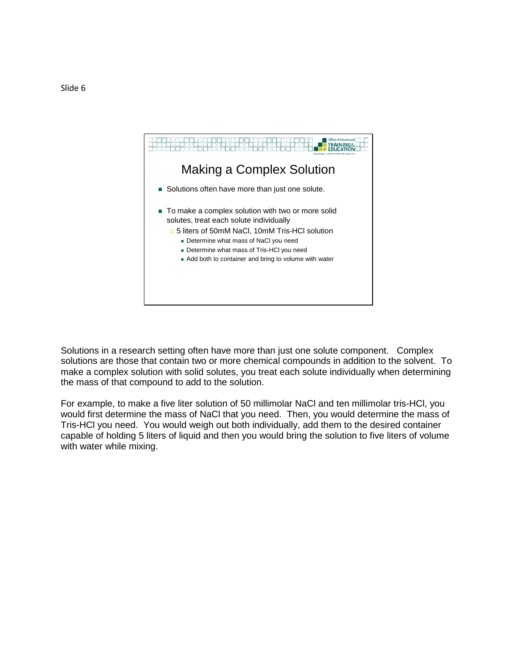

Solutions in a research setting often have more than just one solute component. Complex solutions are those that contain two or more chemical compounds in addition to the solvent. To make a complex solution with solid solutes, you treat each solute individually when determining the mass of that compound to add to the solution.

For example, to make a five liter solution of 50 millimolar NaCl and ten millimolar tris-HCl, you would first determine the mass of NaCl that you need. Then, you would determine the mass of Tris-HCl you need. You would weigh out both individually, add them to the desired container capable of holding 5 liters of liquid and then you would bring the solution to five liters of volume with water while mixing.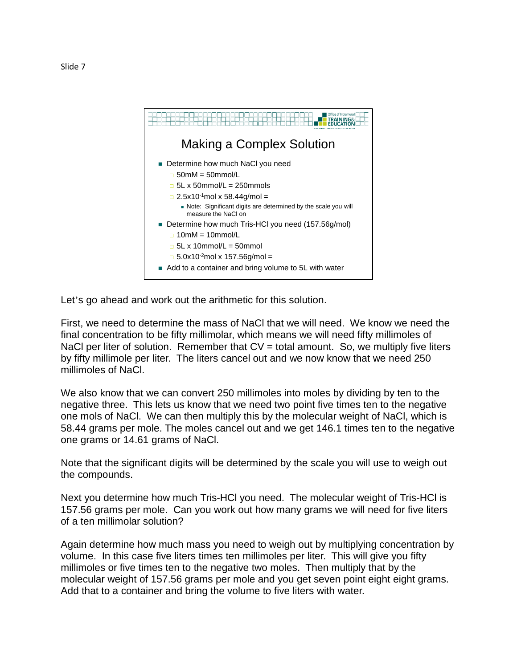

Let's go ahead and work out the arithmetic for this solution.

First, we need to determine the mass of NaCl that we will need. We know we need the final concentration to be fifty millimolar, which means we will need fifty millimoles of NaCl per liter of solution. Remember that  $CV =$  total amount. So, we multiply five liters by fifty millimole per liter. The liters cancel out and we now know that we need 250 millimoles of NaCl.

We also know that we can convert 250 millimoles into moles by dividing by ten to the negative three. This lets us know that we need two point five times ten to the negative one mols of NaCl. We can then multiply this by the molecular weight of NaCl, which is 58.44 grams per mole. The moles cancel out and we get 146.1 times ten to the negative one grams or 14.61 grams of NaCl.

Note that the significant digits will be determined by the scale you will use to weigh out the compounds.

Next you determine how much Tris-HCl you need. The molecular weight of Tris-HCl is 157.56 grams per mole. Can you work out how many grams we will need for five liters of a ten millimolar solution?

Again determine how much mass you need to weigh out by multiplying concentration by volume. In this case five liters times ten millimoles per liter. This will give you fifty millimoles or five times ten to the negative two moles. Then multiply that by the molecular weight of 157.56 grams per mole and you get seven point eight eight grams. Add that to a container and bring the volume to five liters with water.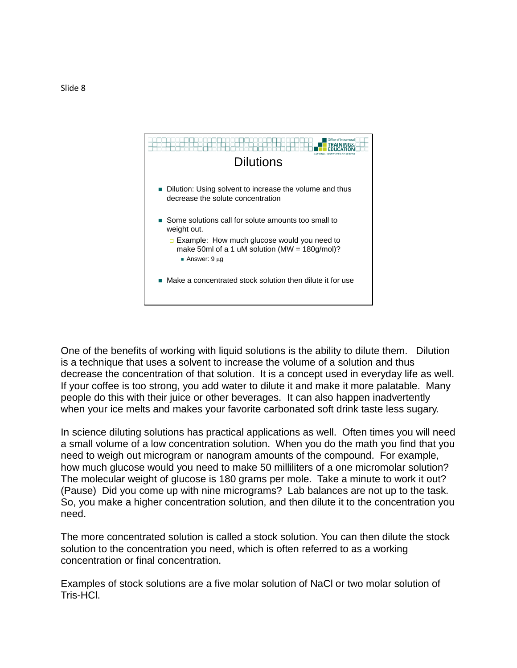

One of the benefits of working with liquid solutions is the ability to dilute them. Dilution is a technique that uses a solvent to increase the volume of a solution and thus decrease the concentration of that solution. It is a concept used in everyday life as well. If your coffee is too strong, you add water to dilute it and make it more palatable. Many people do this with their juice or other beverages. It can also happen inadvertently when your ice melts and makes your favorite carbonated soft drink taste less sugary.

In science diluting solutions has practical applications as well. Often times you will need a small volume of a low concentration solution. When you do the math you find that you need to weigh out microgram or nanogram amounts of the compound. For example, how much glucose would you need to make 50 milliliters of a one micromolar solution? The molecular weight of glucose is 180 grams per mole. Take a minute to work it out? (Pause) Did you come up with nine micrograms? Lab balances are not up to the task. So, you make a higher concentration solution, and then dilute it to the concentration you need.

The more concentrated solution is called a stock solution. You can then dilute the stock solution to the concentration you need, which is often referred to as a working concentration or final concentration.

Examples of stock solutions are a five molar solution of NaCl or two molar solution of Tris-HCl.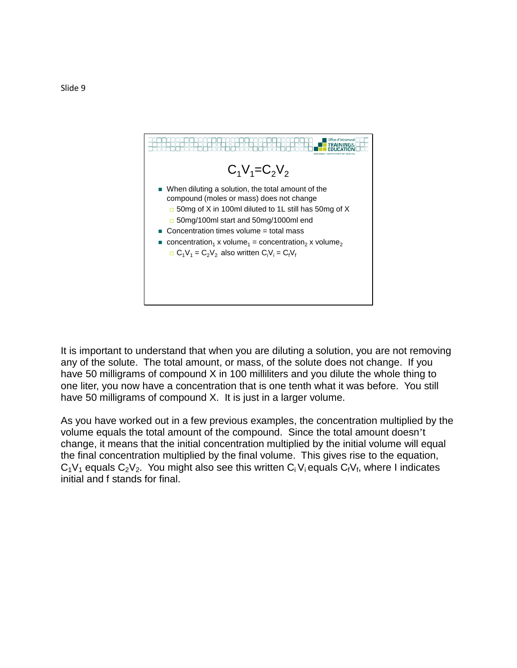

It is important to understand that when you are diluting a solution, you are not removing any of the solute. The total amount, or mass, of the solute does not change. If you have 50 milligrams of compound X in 100 milliliters and you dilute the whole thing to one liter, you now have a concentration that is one tenth what it was before. You still have 50 milligrams of compound X. It is just in a larger volume.

As you have worked out in a few previous examples, the concentration multiplied by the volume equals the total amount of the compound. Since the total amount doesn't change, it means that the initial concentration multiplied by the initial volume will equal the final concentration multiplied by the final volume. This gives rise to the equation,  $C_1V_1$  equals  $C_2V_2$ . You might also see this written  $C_iV_i$  equals  $C_fV_f$ , where I indicates initial and f stands for final.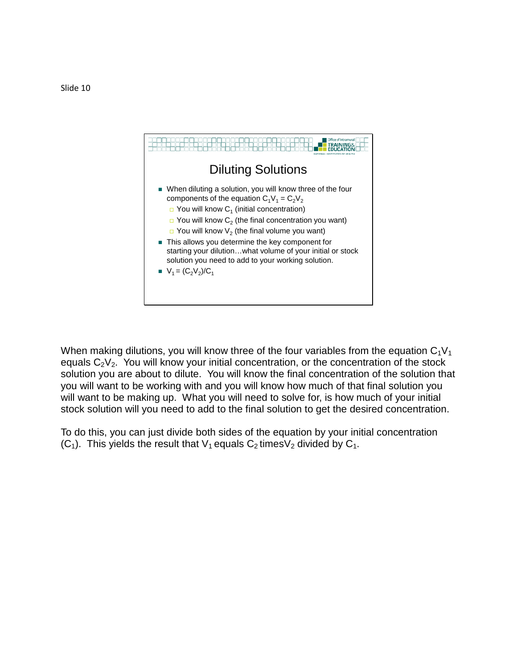

When making dilutions, you will know three of the four variables from the equation  $C_1V_1$ equals  $C_2V_2$ . You will know your initial concentration, or the concentration of the stock solution you are about to dilute. You will know the final concentration of the solution that you will want to be working with and you will know how much of that final solution you will want to be making up. What you will need to solve for, is how much of your initial stock solution will you need to add to the final solution to get the desired concentration.

To do this, you can just divide both sides of the equation by your initial concentration  $(C_1)$ . This yields the result that  $V_1$  equals  $C_2$  times  $V_2$  divided by  $C_1$ .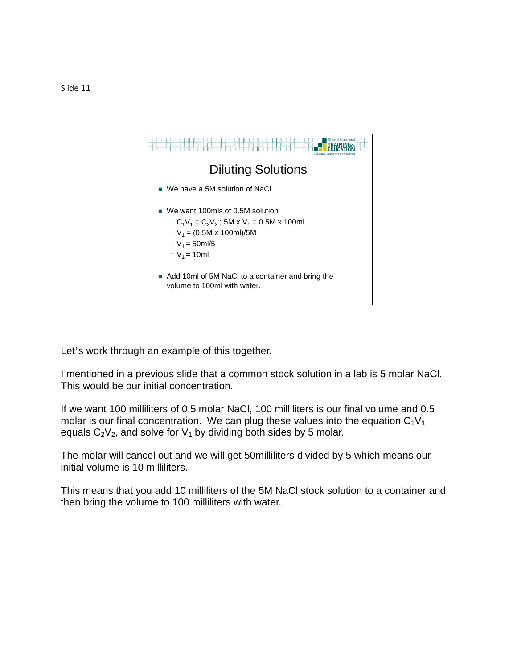

Let's work through an example of this together.

I mentioned in a previous slide that a common stock solution in a lab is 5 molar NaCl. This would be our initial concentration.

If we want 100 milliliters of 0.5 molar NaCl, 100 milliliters is our final volume and 0.5 molar is our final concentration. We can plug these values into the equation  $C_1V_1$ equals  $C_2V_2$ , and solve for  $V_1$  by dividing both sides by 5 molar.

The molar will cancel out and we will get 50milliliters divided by 5 which means our initial volume is 10 milliliters.

This means that you add 10 milliliters of the 5M NaCl stock solution to a container and then bring the volume to 100 milliliters with water.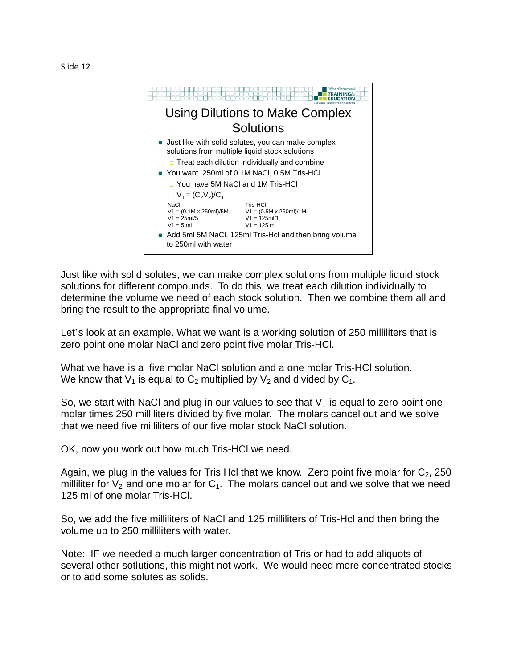



Just like with solid solutes, we can make complex solutions from multiple liquid stock solutions for different compounds. To do this, we treat each dilution individually to determine the volume we need of each stock solution. Then we combine them all and bring the result to the appropriate final volume.

Let's look at an example. What we want is a working solution of 250 milliliters that is zero point one molar NaCl and zero point five molar Tris-HCl.

What we have is a five molar NaCl solution and a one molar Tris-HCl solution. We know that  $V_1$  is equal to  $C_2$  multiplied by  $V_2$  and divided by  $C_1$ .

So, we start with NaCl and plug in our values to see that  $V_1$  is equal to zero point one molar times 250 milliliters divided by five molar. The molars cancel out and we solve that we need five milliliters of our five molar stock NaCl solution.

OK, now you work out how much Tris-HCl we need.

Again, we plug in the values for Tris Hcl that we know. Zero point five molar for  $C_2$ , 250 milliliter for  $V_2$  and one molar for  $C_1$ . The molars cancel out and we solve that we need 125 ml of one molar Tris-HCl.

So, we add the five milliliters of NaCl and 125 milliliters of Tris-Hcl and then bring the volume up to 250 milliliters with water.

Note: IF we needed a much larger concentration of Tris or had to add aliquots of several other sotlutions, this might not work. We would need more concentrated stocks or to add some solutes as solids.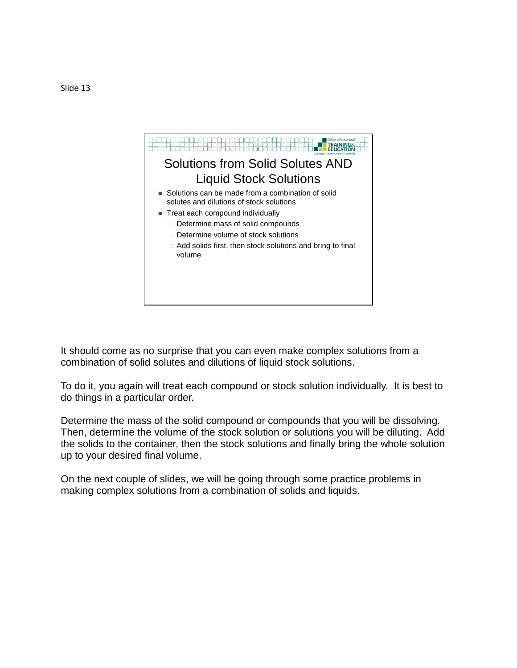

It should come as no surprise that you can even make complex solutions from a combination of solid solutes and dilutions of liquid stock solutions.

To do it, you again will treat each compound or stock solution individually. It is best to do things in a particular order.

Determine the mass of the solid compound or compounds that you will be dissolving. Then, determine the volume of the stock solution or solutions you will be diluting. Add the solids to the container, then the stock solutions and finally bring the whole solution up to your desired final volume.

On the next couple of slides, we will be going through some practice problems in making complex solutions from a combination of solids and liquids.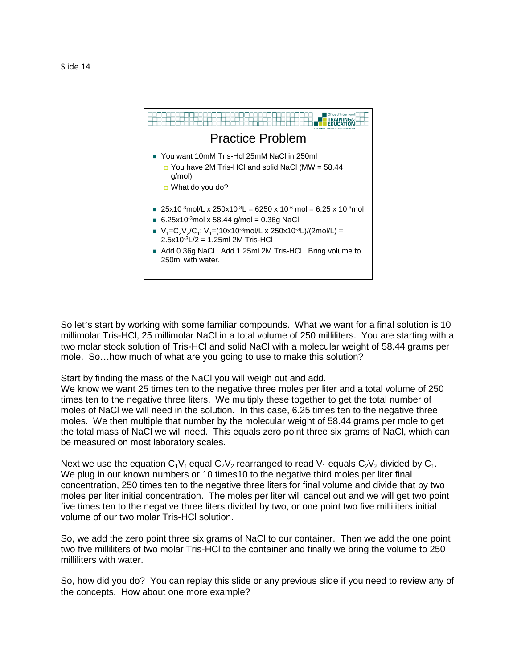

So let's start by working with some familiar compounds. What we want for a final solution is 10 millimolar Tris-HCl, 25 millimolar NaCl in a total volume of 250 milliliters. You are starting with a two molar stock solution of Tris-HCl and solid NaCl with a molecular weight of 58.44 grams per mole. So…how much of what are you going to use to make this solution?

Start by finding the mass of the NaCl you will weigh out and add.

We know we want 25 times ten to the negative three moles per liter and a total volume of 250 times ten to the negative three liters. We multiply these together to get the total number of moles of NaCl we will need in the solution. In this case, 6.25 times ten to the negative three moles. We then multiple that number by the molecular weight of 58.44 grams per mole to get the total mass of NaCl we will need. This equals zero point three six grams of NaCl, which can be measured on most laboratory scales.

Next we use the equation  $C_1V_1$  equal  $C_2V_2$  rearranged to read  $V_1$  equals  $C_2V_2$  divided by  $C_1$ . We plug in our known numbers or 10 times10 to the negative third moles per liter final concentration, 250 times ten to the negative three liters for final volume and divide that by two moles per liter initial concentration. The moles per liter will cancel out and we will get two point five times ten to the negative three liters divided by two, or one point two five milliliters initial volume of our two molar Tris-HCl solution.

So, we add the zero point three six grams of NaCl to our container. Then we add the one point two five milliliters of two molar Tris-HCl to the container and finally we bring the volume to 250 milliliters with water.

So, how did you do? You can replay this slide or any previous slide if you need to review any of the concepts. How about one more example?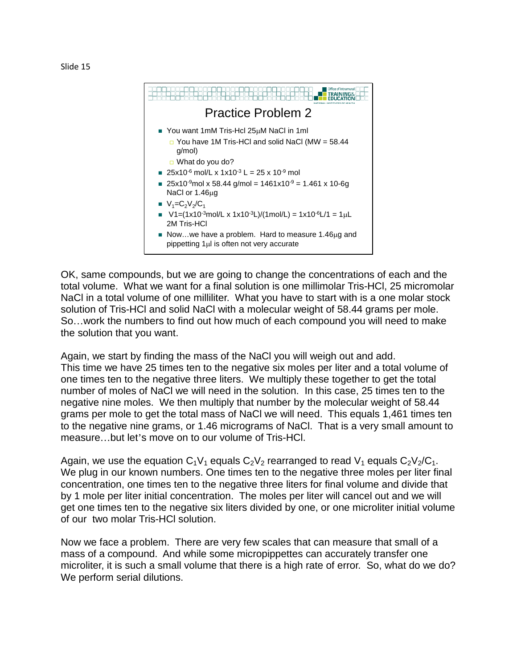



OK, same compounds, but we are going to change the concentrations of each and the total volume. What we want for a final solution is one millimolar Tris-HCl, 25 micromolar NaCl in a total volume of one milliliter. What you have to start with is a one molar stock solution of Tris-HCl and solid NaCl with a molecular weight of 58.44 grams per mole. So…work the numbers to find out how much of each compound you will need to make the solution that you want.

Again, we start by finding the mass of the NaCl you will weigh out and add. This time we have 25 times ten to the negative six moles per liter and a total volume of one times ten to the negative three liters. We multiply these together to get the total number of moles of NaCl we will need in the solution. In this case, 25 times ten to the negative nine moles. We then multiply that number by the molecular weight of 58.44 grams per mole to get the total mass of NaCl we will need. This equals 1,461 times ten to the negative nine grams, or 1.46 micrograms of NaCl. That is a very small amount to measure…but let's move on to our volume of Tris-HCl.

Again, we use the equation  $C_1V_1$  equals  $C_2V_2$  rearranged to read  $V_1$  equals  $C_2V_2/C_1$ . We plug in our known numbers. One times ten to the negative three moles per liter final concentration, one times ten to the negative three liters for final volume and divide that by 1 mole per liter initial concentration. The moles per liter will cancel out and we will get one times ten to the negative six liters divided by one, or one microliter initial volume of our two molar Tris-HCl solution.

Now we face a problem. There are very few scales that can measure that small of a mass of a compound. And while some micropippettes can accurately transfer one microliter, it is such a small volume that there is a high rate of error. So, what do we do? We perform serial dilutions.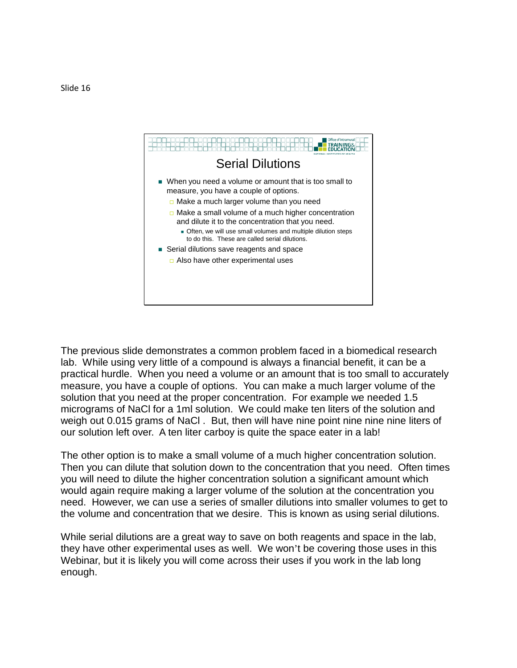

The previous slide demonstrates a common problem faced in a biomedical research lab. While using very little of a compound is always a financial benefit, it can be a practical hurdle. When you need a volume or an amount that is too small to accurately measure, you have a couple of options. You can make a much larger volume of the solution that you need at the proper concentration. For example we needed 1.5 micrograms of NaCl for a 1ml solution. We could make ten liters of the solution and weigh out 0.015 grams of NaCl . But, then will have nine point nine nine nine liters of our solution left over. A ten liter carboy is quite the space eater in a lab!

The other option is to make a small volume of a much higher concentration solution. Then you can dilute that solution down to the concentration that you need. Often times you will need to dilute the higher concentration solution a significant amount which would again require making a larger volume of the solution at the concentration you need. However, we can use a series of smaller dilutions into smaller volumes to get to the volume and concentration that we desire. This is known as using serial dilutions.

While serial dilutions are a great way to save on both reagents and space in the lab, they have other experimental uses as well. We won't be covering those uses in this Webinar, but it is likely you will come across their uses if you work in the lab long enough.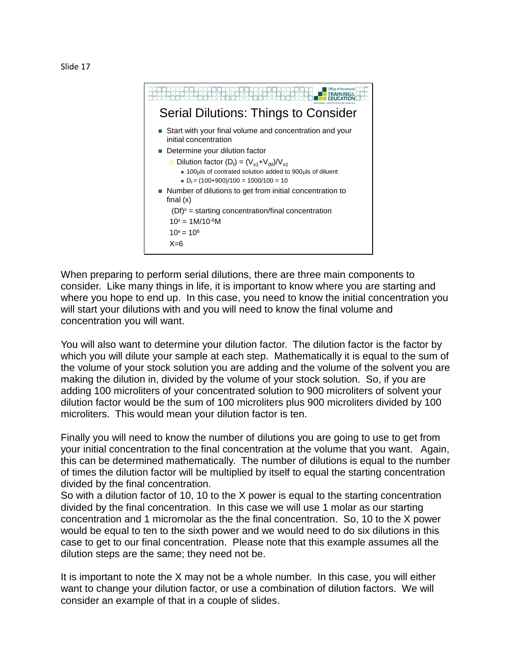



When preparing to perform serial dilutions, there are three main components to consider. Like many things in life, it is important to know where you are starting and where you hope to end up. In this case, you need to know the initial concentration you will start your dilutions with and you will need to know the final volume and concentration you will want.

You will also want to determine your dilution factor. The dilution factor is the factor by which you will dilute your sample at each step. Mathematically it is equal to the sum of the volume of your stock solution you are adding and the volume of the solvent you are making the dilution in, divided by the volume of your stock solution. So, if you are adding 100 microliters of your concentrated solution to 900 microliters of solvent your dilution factor would be the sum of 100 microliters plus 900 microliters divided by 100 microliters. This would mean your dilution factor is ten.

Finally you will need to know the number of dilutions you are going to use to get from your initial concentration to the final concentration at the volume that you want. Again, this can be determined mathematically. The number of dilutions is equal to the number of times the dilution factor will be multiplied by itself to equal the starting concentration divided by the final concentration.

So with a dilution factor of 10, 10 to the X power is equal to the starting concentration divided by the final concentration. In this case we will use 1 molar as our starting concentration and 1 micromolar as the the final concentration. So, 10 to the X power would be equal to ten to the sixth power and we would need to do six dilutions in this case to get to our final concentration. Please note that this example assumes all the dilution steps are the same; they need not be.

It is important to note the X may not be a whole number. In this case, you will either want to change your dilution factor, or use a combination of dilution factors. We will consider an example of that in a couple of slides.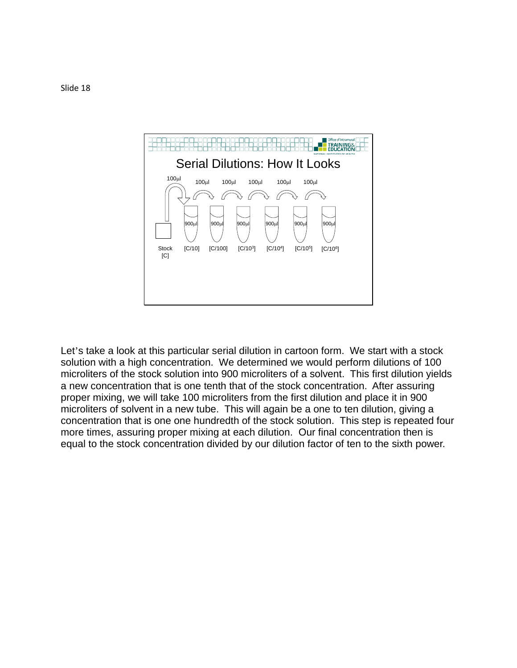

Let's take a look at this particular serial dilution in cartoon form. We start with a stock solution with a high concentration. We determined we would perform dilutions of 100 microliters of the stock solution into 900 microliters of a solvent. This first dilution yields a new concentration that is one tenth that of the stock concentration. After assuring proper mixing, we will take 100 microliters from the first dilution and place it in 900 microliters of solvent in a new tube. This will again be a one to ten dilution, giving a concentration that is one one hundredth of the stock solution. This step is repeated four more times, assuring proper mixing at each dilution. Our final concentration then is equal to the stock concentration divided by our dilution factor of ten to the sixth power.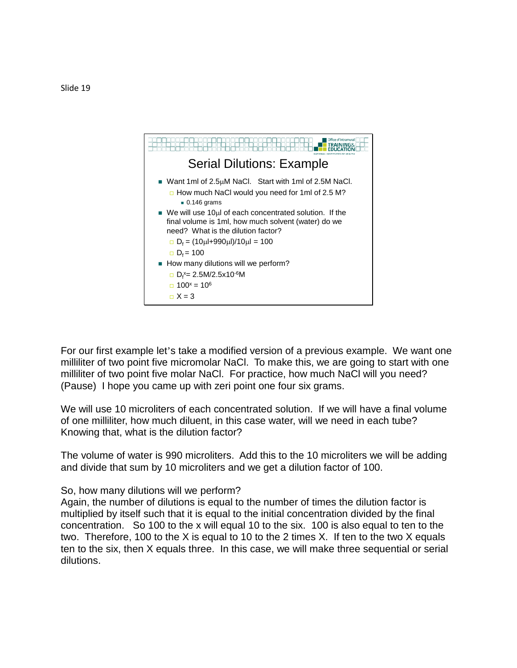

For our first example let's take a modified version of a previous example. We want one milliliter of two point five micromolar NaCl. To make this, we are going to start with one milliliter of two point five molar NaCl. For practice, how much NaCl will you need? (Pause) I hope you came up with zeri point one four six grams.

We will use 10 microliters of each concentrated solution. If we will have a final volume of one milliliter, how much diluent, in this case water, will we need in each tube? Knowing that, what is the dilution factor?

The volume of water is 990 microliters. Add this to the 10 microliters we will be adding and divide that sum by 10 microliters and we get a dilution factor of 100.

## So, how many dilutions will we perform?

Again, the number of dilutions is equal to the number of times the dilution factor is multiplied by itself such that it is equal to the initial concentration divided by the final concentration. So 100 to the x will equal 10 to the six. 100 is also equal to ten to the two. Therefore, 100 to the X is equal to 10 to the 2 times X. If ten to the two X equals ten to the six, then X equals three. In this case, we will make three sequential or serial dilutions.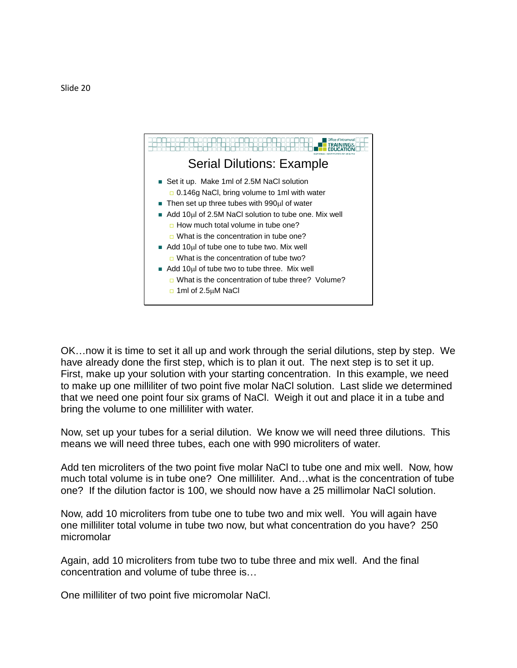

OK…now it is time to set it all up and work through the serial dilutions, step by step. We have already done the first step, which is to plan it out. The next step is to set it up. First, make up your solution with your starting concentration. In this example, we need to make up one milliliter of two point five molar NaCl solution. Last slide we determined that we need one point four six grams of NaCl. Weigh it out and place it in a tube and bring the volume to one milliliter with water.

Now, set up your tubes for a serial dilution. We know we will need three dilutions. This means we will need three tubes, each one with 990 microliters of water.

Add ten microliters of the two point five molar NaCl to tube one and mix well. Now, how much total volume is in tube one? One milliliter. And…what is the concentration of tube one? If the dilution factor is 100, we should now have a 25 millimolar NaCl solution.

Now, add 10 microliters from tube one to tube two and mix well. You will again have one milliliter total volume in tube two now, but what concentration do you have? 250 micromolar

Again, add 10 microliters from tube two to tube three and mix well. And the final concentration and volume of tube three is…

One milliliter of two point five micromolar NaCl.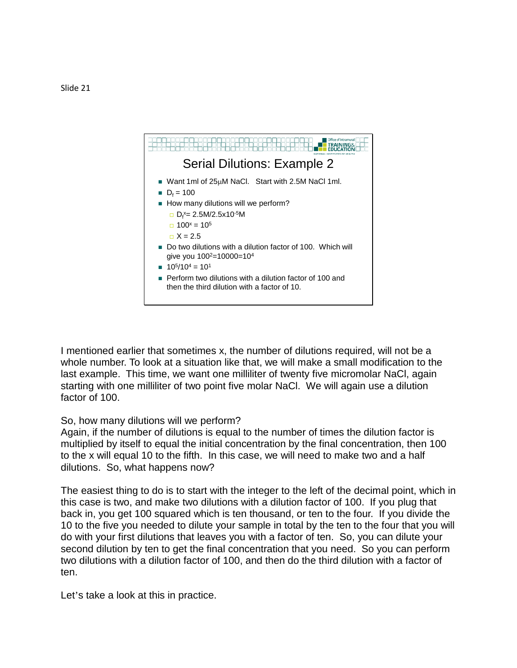

I mentioned earlier that sometimes x, the number of dilutions required, will not be a whole number. To look at a situation like that, we will make a small modification to the last example. This time, we want one milliliter of twenty five micromolar NaCl, again starting with one milliliter of two point five molar NaCl. We will again use a dilution factor of 100.

## So, how many dilutions will we perform?

Again, if the number of dilutions is equal to the number of times the dilution factor is multiplied by itself to equal the initial concentration by the final concentration, then 100 to the x will equal 10 to the fifth. In this case, we will need to make two and a half dilutions. So, what happens now?

The easiest thing to do is to start with the integer to the left of the decimal point, which in this case is two, and make two dilutions with a dilution factor of 100. If you plug that back in, you get 100 squared which is ten thousand, or ten to the four. If you divide the 10 to the five you needed to dilute your sample in total by the ten to the four that you will do with your first dilutions that leaves you with a factor of ten. So, you can dilute your second dilution by ten to get the final concentration that you need. So you can perform two dilutions with a dilution factor of 100, and then do the third dilution with a factor of ten.

Let's take a look at this in practice.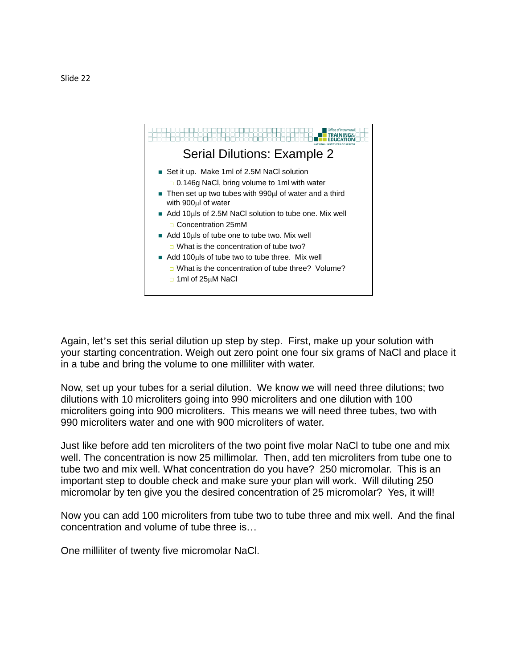

Again, let's set this serial dilution up step by step. First, make up your solution with your starting concentration. Weigh out zero point one four six grams of NaCl and place it in a tube and bring the volume to one milliliter with water.

Now, set up your tubes for a serial dilution. We know we will need three dilutions; two dilutions with 10 microliters going into 990 microliters and one dilution with 100 microliters going into 900 microliters. This means we will need three tubes, two with 990 microliters water and one with 900 microliters of water.

Just like before add ten microliters of the two point five molar NaCl to tube one and mix well. The concentration is now 25 millimolar. Then, add ten microliters from tube one to tube two and mix well. What concentration do you have? 250 micromolar. This is an important step to double check and make sure your plan will work. Will diluting 250 micromolar by ten give you the desired concentration of 25 micromolar? Yes, it will!

Now you can add 100 microliters from tube two to tube three and mix well. And the final concentration and volume of tube three is…

One milliliter of twenty five micromolar NaCl.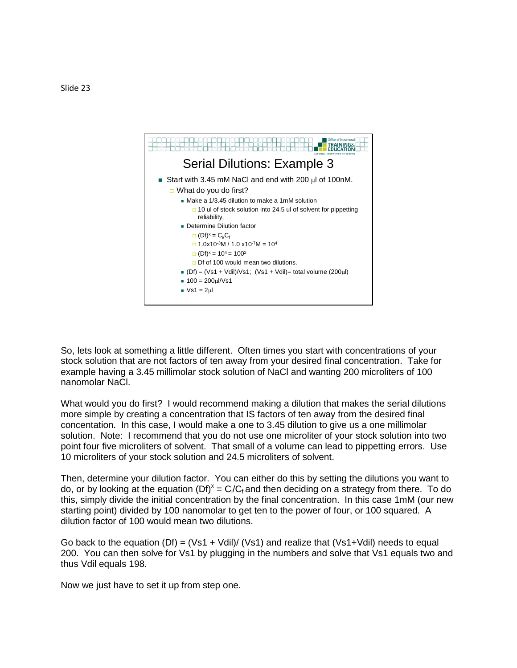

So, lets look at something a little different. Often times you start with concentrations of your stock solution that are not factors of ten away from your desired final concentration. Take for example having a 3.45 millimolar stock solution of NaCl and wanting 200 microliters of 100 nanomolar NaCl.

What would you do first? I would recommend making a dilution that makes the serial dilutions more simple by creating a concentration that IS factors of ten away from the desired final concentation. In this case, I would make a one to 3.45 dilution to give us a one millimolar solution. Note: I recommend that you do not use one microliter of your stock solution into two point four five microliters of solvent. That small of a volume can lead to pippetting errors. Use 10 microliters of your stock solution and 24.5 microliters of solvent.

Then, determine your dilution factor. You can either do this by setting the dilutions you want to do, or by looking at the equation  $(Df)^x = C \sqrt{C_f}$  and then deciding on a strategy from there. To do this, simply divide the initial concentration by the final concentration. In this case 1mM (our new starting point) divided by 100 nanomolar to get ten to the power of four, or 100 squared. A dilution factor of 100 would mean two dilutions.

Go back to the equation  $(Df) = (Vs1 + Vdil)/(Vs1)$  and realize that  $(Vs1+Vdil)$  needs to equal 200. You can then solve for Vs1 by plugging in the numbers and solve that Vs1 equals two and thus Vdil equals 198.

Now we just have to set it up from step one.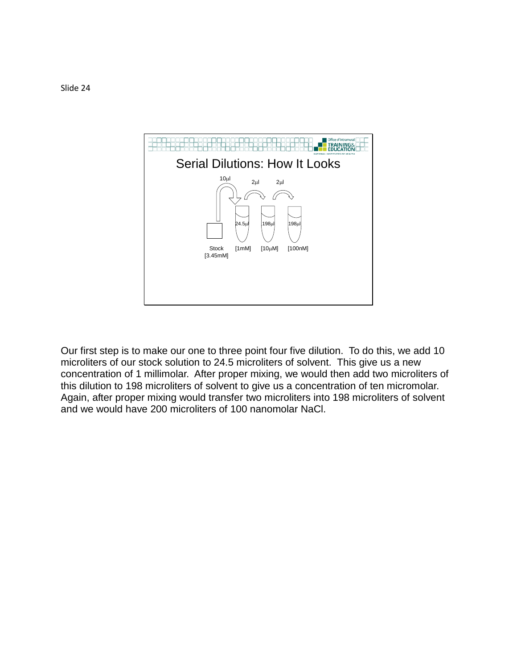

Our first step is to make our one to three point four five dilution. To do this, we add 10 microliters of our stock solution to 24.5 microliters of solvent. This give us a new concentration of 1 millimolar. After proper mixing, we would then add two microliters of this dilution to 198 microliters of solvent to give us a concentration of ten micromolar. Again, after proper mixing would transfer two microliters into 198 microliters of solvent and we would have 200 microliters of 100 nanomolar NaCl.